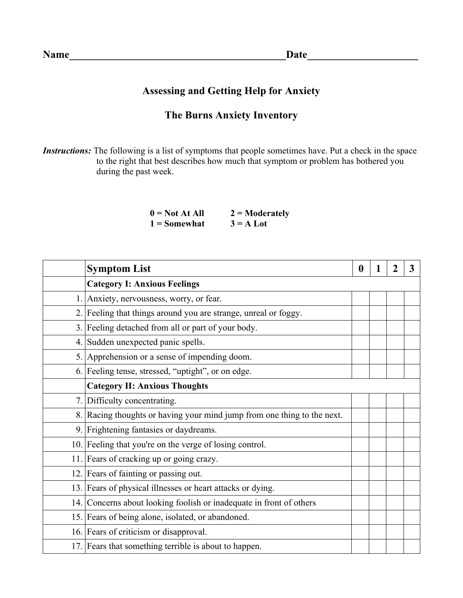## **Assessing and Getting Help for Anxiety**

## **The Burns Anxiety Inventory**

*Instructions:* The following is a list of symptoms that people sometimes have. Put a check in the space to the right that best describes how much that symptom or problem has bothered you during the past week.

| $0 = Not At All$ | $2 =$ Moderately |
|------------------|------------------|
| $1 =$ Somewhat   | $3 = A$ Lot      |

|    | <b>Symptom List</b>                                                     | $\bf{0}$ | 1 | 3 |
|----|-------------------------------------------------------------------------|----------|---|---|
|    | <b>Category I: Anxious Feelings</b>                                     |          |   |   |
|    | Anxiety, nervousness, worry, or fear.                                   |          |   |   |
| 2. | Feeling that things around you are strange, unreal or foggy.            |          |   |   |
|    | 3. Feeling detached from all or part of your body.                      |          |   |   |
|    | 4. Sudden unexpected panic spells.                                      |          |   |   |
|    | 5. Apprehension or a sense of impending doom.                           |          |   |   |
|    | 6. Feeling tense, stressed, "uptight", or on edge.                      |          |   |   |
|    | <b>Category II: Anxious Thoughts</b>                                    |          |   |   |
|    | 7. Difficulty concentrating.                                            |          |   |   |
|    | 8. Racing thoughts or having your mind jump from one thing to the next. |          |   |   |
|    | 9. Frightening fantasies or daydreams.                                  |          |   |   |
|    | 10. Feeling that you're on the verge of losing control.                 |          |   |   |
|    | 11. Fears of cracking up or going crazy.                                |          |   |   |
|    | 12. Fears of fainting or passing out.                                   |          |   |   |
|    | 13. Fears of physical illnesses or heart attacks or dying.              |          |   |   |
|    | 14. Concerns about looking foolish or inadequate in front of others     |          |   |   |
|    | 15. Fears of being alone, isolated, or abandoned.                       |          |   |   |
|    | 16. Fears of criticism or disapproval.                                  |          |   |   |
|    | 17. Fears that something terrible is about to happen.                   |          |   |   |